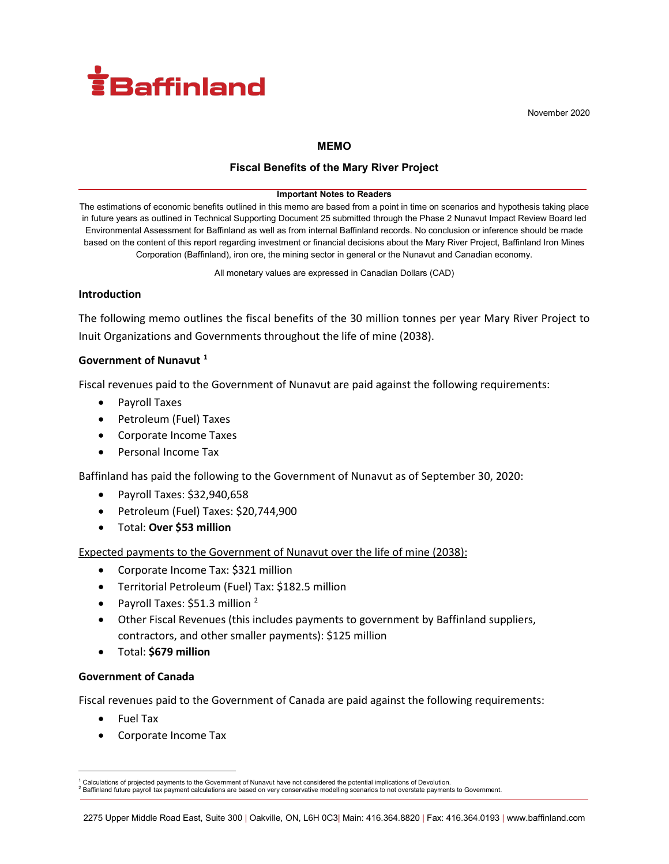

November 2020

#### **MEMO**

## **Fiscal Benefits of the Mary River Project**

#### **Important Notes to Readers**

The estimations of economic benefits outlined in this memo are based from a point in time on scenarios and hypothesis taking place in future years as outlined in Technical Supporting Document 25 submitted through the Phase 2 Nunavut Impact Review Board led Environmental Assessment for Baffinland as well as from internal Baffinland records. No conclusion or inference should be made based on the content of this report regarding investment or financial decisions about the Mary River Project, Baffinland Iron Mines Corporation (Baffinland), iron ore, the mining sector in general or the Nunavut and Canadian economy.

All monetary values are expressed in Canadian Dollars (CAD)

#### **Introduction**

The following memo outlines the fiscal benefits of the 30 million tonnes per year Mary River Project to Inuit Organizations and Governments throughout the life of mine (2038).

## **Government of Nunavut [1](#page-0-0)**

Fiscal revenues paid to the Government of Nunavut are paid against the following requirements:

- Payroll Taxes
- Petroleum (Fuel) Taxes
- Corporate Income Taxes
- Personal Income Tax

Baffinland has paid the following to the Government of Nunavut as of September 30, 2020:

- Payroll Taxes: \$32,940,658
- Petroleum (Fuel) Taxes: \$20,744,900
- Total: **Over \$53 million**

Expected payments to the Government of Nunavut over the life of mine (2038):

- Corporate Income Tax: \$321 million
- Territorial Petroleum (Fuel) Tax: \$182.5 million
- Payroll Taxes:  $$51.3$  million  $^{2}$  $^{2}$  $^{2}$
- Other Fiscal Revenues (this includes payments to government by Baffinland suppliers, contractors, and other smaller payments): \$125 million
- Total: **\$679 million**

#### **Government of Canada**

Fiscal revenues paid to the Government of Canada are paid against the following requirements:

- Fuel Tax
- Corporate Income Tax

<span id="page-0-1"></span><span id="page-0-0"></span>Calculations of projected payments to the Government of Nunavut have not considered the potential implications of Devolution.<br>Baffinland future payroll tax payment calculations are based on very conservative modelling scen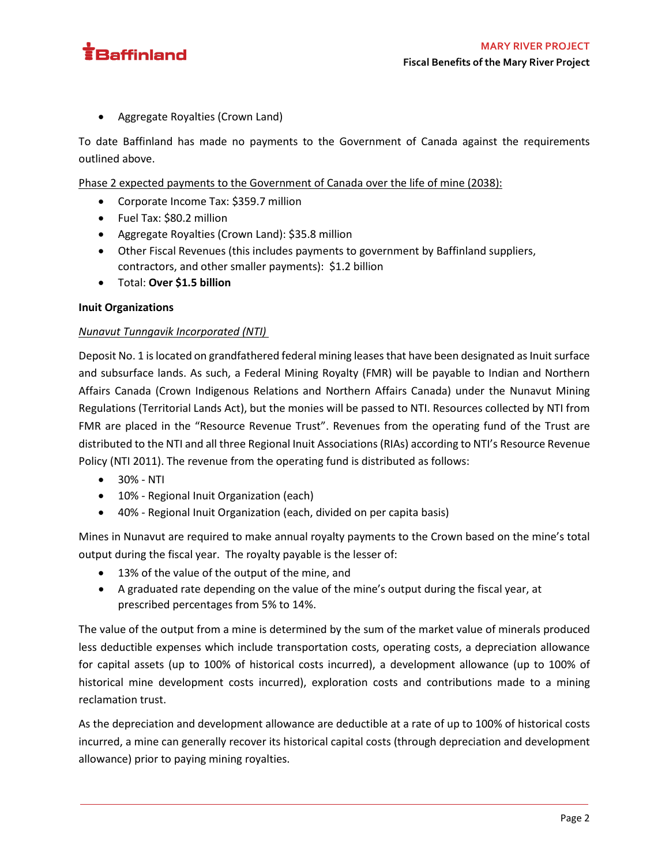

• Aggregate Royalties (Crown Land)

To date Baffinland has made no payments to the Government of Canada against the requirements outlined above.

Phase 2 expected payments to the Government of Canada over the life of mine (2038):

- Corporate Income Tax: \$359.7 million
- Fuel Tax: \$80.2 million
- Aggregate Royalties (Crown Land): \$35.8 million
- Other Fiscal Revenues (this includes payments to government by Baffinland suppliers, contractors, and other smaller payments): \$1.2 billion
- Total: **Over \$1.5 billion**

# **Inuit Organizations**

## *Nunavut Tunngavik Incorporated (NTI)*

Deposit No. 1 is located on grandfathered federal mining leases that have been designated as Inuit surface and subsurface lands. As such, a Federal Mining Royalty (FMR) will be payable to Indian and Northern Affairs Canada (Crown Indigenous Relations and Northern Affairs Canada) under the Nunavut Mining Regulations (Territorial Lands Act), but the monies will be passed to NTI. Resources collected by NTI from FMR are placed in the "Resource Revenue Trust". Revenues from the operating fund of the Trust are distributed to the NTI and all three Regional Inuit Associations (RIAs) according to NTI's Resource Revenue Policy (NTI 2011). The revenue from the operating fund is distributed as follows:

- 30% NTI
- 10% Regional Inuit Organization (each)
- 40% Regional Inuit Organization (each, divided on per capita basis)

Mines in Nunavut are required to make annual royalty payments to the Crown based on the mine's total output during the fiscal year. The royalty payable is the lesser of:

- 13% of the value of the output of the mine, and
- A graduated rate depending on the value of the mine's output during the fiscal year, at prescribed percentages from 5% to 14%.

The value of the output from a mine is determined by the sum of the market value of minerals produced less deductible expenses which include transportation costs, operating costs, a depreciation allowance for capital assets (up to 100% of historical costs incurred), a development allowance (up to 100% of historical mine development costs incurred), exploration costs and contributions made to a mining reclamation trust.

As the depreciation and development allowance are deductible at a rate of up to 100% of historical costs incurred, a mine can generally recover its historical capital costs (through depreciation and development allowance) prior to paying mining royalties.